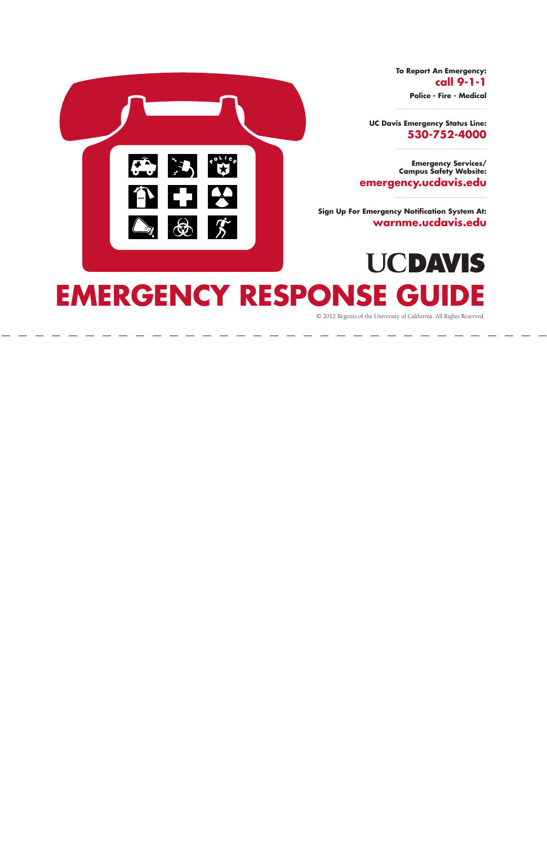# **EMERGENCY RESPONSE GUIDE**

**To Report An Emergency: call 9-1-1 Police - Fire - Medical**

**UC Davis Emergency Status Line: 530-752-4000**

**Emergency Services/ Campus Safety Website: emergency.ucdavis.edu**

**UCDAVIS** 

**Sign Up For Emergency Notification System At: warnme.ucdavis.edu**



© 2012 Regents of the University of California. All Rights Reserved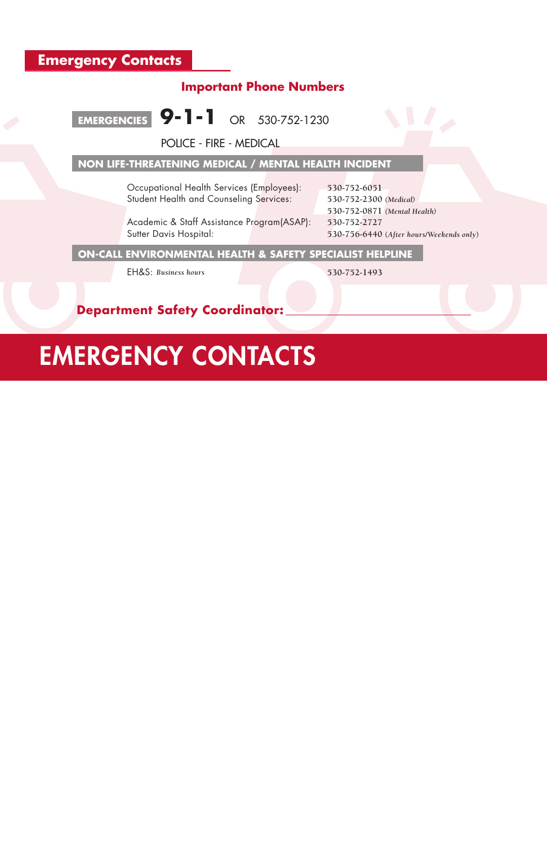# EMERGENCY CONTACTS

# **Important Phone Numbers**



POLICE - FIRE - MEDICAL

# **NON LIFE-THREATENING MEDICAL / MENTAL HEALTH INCIDENT**

Academic & Staff Assistance Program(ASAP): **530-752-2727**  Sutter Davis Hospital: **530-756-6440** (*After hours/Weekends only*)

Occupational Health Services (Employees): **530-752-6051** Student Health and Counseling Services: **530-752-2300** *(Medical)* 

**530-752-0871** *(Mental Health)*

**ON-CALL ENVIRONMENTAL HEALTH & SAFETY SPECIALIST HELPLINE** 

EH&S: *Business hours* **530-752-1493**

 **Department Safety Coordinator:**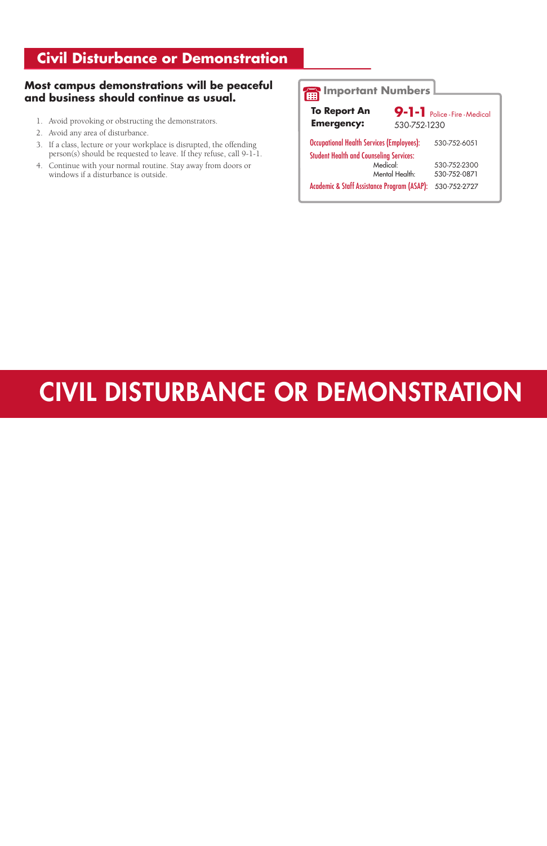# **Civil Disturbance or Demonstration**

#### **Most campus demonstrations will be peaceful and business should continue as usual.**

**9-1-1** Police - Fire - Medical 530-752-1230

- 1. Avoid provoking or obstructing the demonstrators.
- 2. Avoid any area of disturbance.
- 3. If a class, lecture or your workplace is disrupted, the offending person(s) should be requested to leave. If they refuse, call 9-1-1.
- 4. Continue with your normal routine. Stay away from doors or windows if a disturbance is outside.

| <b>Occupational Health Services (Employees):</b> | 530-752-6051 |
|--------------------------------------------------|--------------|
| <b>Student Health and Counseling Services:</b>   |              |
| Medical:                                         | 530-752-2300 |
| Mental Health:                                   | 530-752-0871 |

# CIVIL DISTURBANCE OR DEMONSTRATION

**Important Numbers**

Academic & Staff Assistance Program (ASAP): 530-752-2727

**To Report An Emergency:**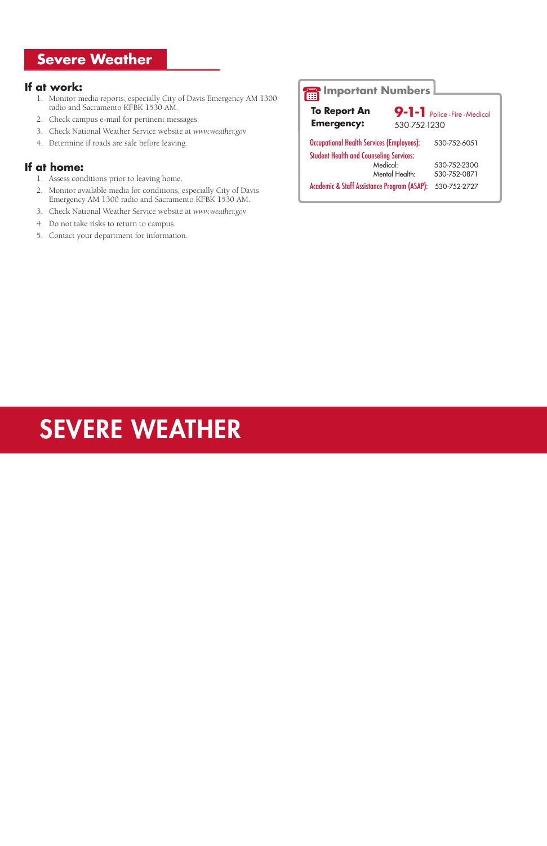# **Severe Weather**

#### **If at work:**

- 1. Monitor media reports, especially City of Davis Emergency AM 1300 radio and Sacramento KFBK 1530 AM.
- 2. Check campus e-mail for pertinent messages.
- 3. Check National Weather Service website at *www.weather.gov*
- 4. Determine if roads are safe before leaving.

#### **If at home:**

- 1. Assess conditions prior to leaving home.
- 2. Monitor available media for conditions, especially City of Davis Emergency AM 1300 radio and Sacramento KFBK 1530 AM.
- 3. Check National Weather Service website at *www.weather.gov*
- 4. Do not take risks to return to campus.
- 5. Contact your department for information.

**9-1-1** Police - Fire - Medical 530-752-1230 Occupational Health Services (Employees): 530-752-6051 Student Health and Counseling Services: Medical: 530-752-2300<br>
Mental Health: 530-752-0871 Mental Health: 530-752-0871 Academic & Staff Assistance Program (ASAP): 530-752-2727 **To Report An Emergency:**

# SEVERE WEATHER

# **Important Numbers**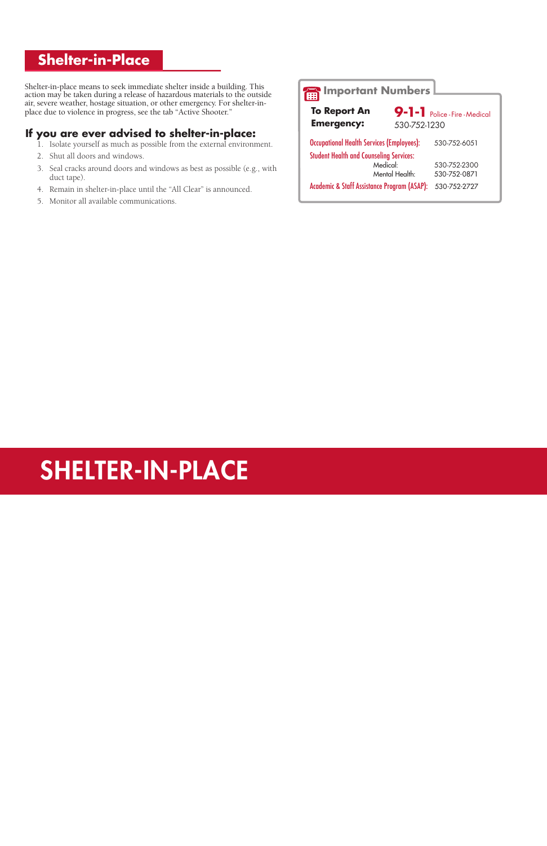# **Shelter-in-Place**

Shelter-in-place means to seek immediate shelter inside a building. This action may be taken during a release of hazardous materials to the outside air, severe weather, hostage situation, or other emergency. For shelter-inplace due to violence in progress, see the tab "Active Shooter."

#### **If you are ever advised to shelter-in-place:**

- 1. Isolate yourself as much as possible from the external environment.
- 2. Shut all doors and windows.
- 3. Seal cracks around doors and windows as best as possible (e.g., with duct tape).
- 4. Remain in shelter-in-place until the "All Clear" is announced.
- 5. Monitor all available communications.

# SHELTER-IN-PLACE

#### **Important Numbers 9-1-1** Police - Fire - Medical 530-752-1230 Occupational Health Services (Employees): 530-752-6051 Student Health and Counseling Services: Medical: 530-752-2300 Mental Health: 530-752-0871 Academic & Staff Assistance Program (ASAP): 530-752-2727 **To Report An Emergency:**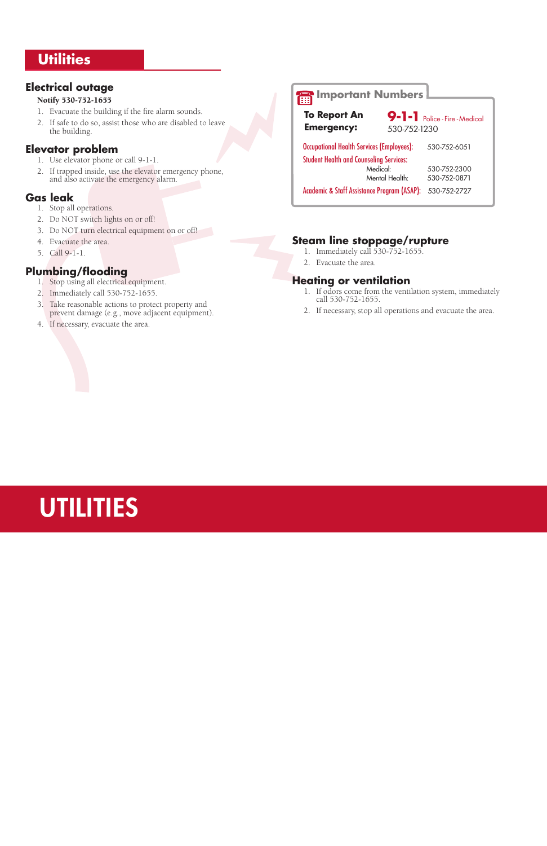# **Utilities**

### **Electrical outage**

#### Notify 530-752-1655

- 1. Evacuate the building if the fire alarm sounds.
- 2. If safe to do so, assist those who are disabled to leave the building.

#### **Elevator problem**

- 1. Use elevator phone or call 9-1-1.
- 2. If trapped inside, use the elevator emergency phone, and also activate the emergency alarm.

#### **Gas leak**

- 1. Stop all operations.
- 2. Do NOT switch lights on or off!
- 3. Do NOT turn electrical equipment on or off!
- 4. Evacuate the area.
- 5. Call 9-1-1.

## **Plumbing/flooding**

- 1. Stop using all electrical equipment.
- 2. Immediately call 530-752-1655.
- 3. Take reasonable actions to protect property and prevent damage (e.g., move adjacent equipment).
- 4. If necessary, evacuate the area.

# **Steam line stoppage/rupture**

- 1. Immediately call 530-752-1655.
- 2. Evacuate the area.

### **Heating or ventilation**

- 1. If odors come from the ventilation system, immediately call 530-752-1655.
- 2. If necessary, stop all operations and evacuate the area.

# **UTILITIES**

# **Important Numbers**

| <b>To Report An</b><br><b>Emergency:</b>               | 530-752-1230   | 9-1-1 Police-Fire-Medical |
|--------------------------------------------------------|----------------|---------------------------|
| <b>Occupational Health Services (Employees):</b>       |                | 530-752-6051              |
| <b>Student Health and Counseling Services:</b>         | Medical:       | 530-752-2300              |
|                                                        | Mental Health: | 530-752-0871              |
| <b>Academic &amp; Staff Assistance Program (ASAP):</b> |                | 530-752-2727              |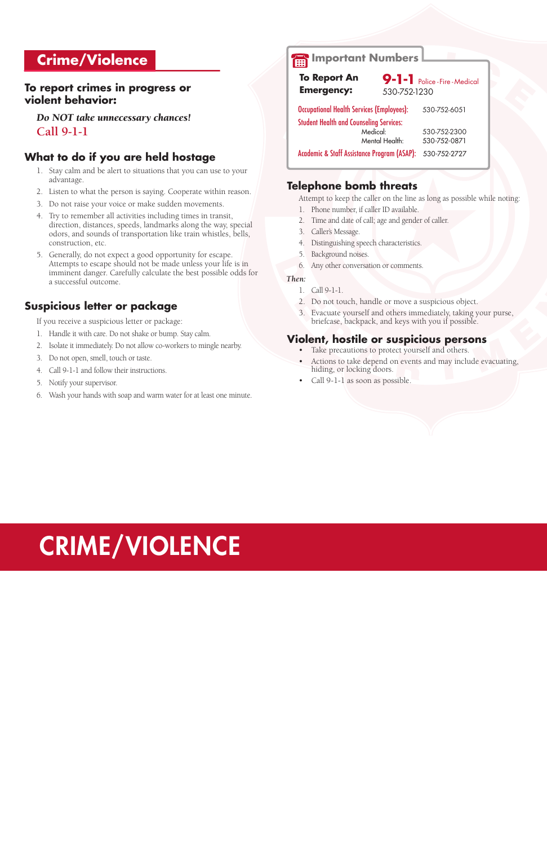# CRIME/VIOLENCE

# **Crime/Violence**

#### **To report crimes in progress or violent behavior:**

*Do NOT take unnecessary chances!* **Call 9-1-1**

## **What to do if you are held hostage**

- 1. Stay calm and be alert to situations that you can use to your advantage.
- 2. Listen to what the person is saying. Cooperate within reason.
- 3. Do not raise your voice or make sudden movements.
- 4. Try to remember all activities including times in transit, direction, distances, speeds, landmarks along the way, special odors, and sounds of transportation like train whistles, bells, construction, etc.
- 5. Generally, do not expect a good opportunity for escape. Attempts to escape should not be made unless your life is in imminent danger. Carefully calculate the best possible odds for a successful outcome.

## **Suspicious letter or package**

If you receive a suspicious letter or package:

- 1. Handle it with care. Do not shake or bump. Stay calm.
- 2. Isolate it immediately. Do not allow co-workers to mingle nearby.
- 3. Do not open, smell, touch or taste.
- 4. Call 9-1-1 and follow their instructions.
- 5. Notify your supervisor.
- 6. Wash your hands with soap and warm water for at least one minute.

## **Telephone bomb threats**

Attempt to keep the caller on the line as long as possible while noting:

- 1. Phone number, if caller ID available.
- 2. Time and date of call; age and gender of caller.
- 3. Caller's Message.
- 4. Distinguishing speech characteristics.
- 5. Background noises.
- 6. Any other conversation or comments.

#### *Then:*

- 1. Call 9-1-1.
- 2. Do not touch, handle or move a suspicious object.
- 3. Evacuate yourself and others immediately, taking your purse, briefcase, backpack, and keys with you if possible.

#### **Violent, hostile or suspicious persons**

- Take precautions to protect yourself and others.
- Actions to take depend on events and may include evacuating, hiding, or locking doors.
- Call 9-1-1 as soon as possible.

# **Important Numbers**

| <b>To Report An</b>                              |                | 9-1-1 Police - Fire - Medical |
|--------------------------------------------------|----------------|-------------------------------|
| <b>Emergency:</b>                                | 530-752-1230   |                               |
| <b>Occupational Health Services (Employees):</b> |                | 530-752-6051                  |
| <b>Student Health and Counseling Services:</b>   |                |                               |
|                                                  | Medical:       | 530-752-2300                  |
|                                                  | Mental Health: | 530-752-0871                  |
| Academic & Staff Assistance Program (ASAP):      |                | 530-752-2727                  |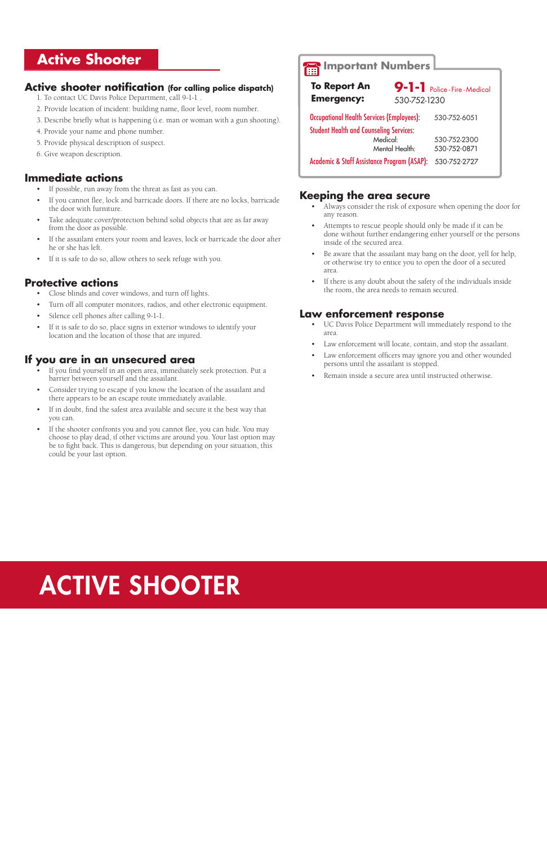# **Active Shooter**

#### **Active shooter notification (for calling police dispatch)**

- 1. To contact UC Davis Police Department, call 9-1-1 .
- 2. Provide location of incident: building name, floor level, room number.
- 3. Describe briefly what is happening (i.e. man or woman with a gun shooting).
- 4. Provide your name and phone number.
- 5. Provide physical description of suspect.
- 6. Give weapon description.

#### **Immediate actions**

- If possible, run away from the threat as fast as you can.
- If you cannot flee, lock and barricade doors. If there are no locks, barricade the door with furniture.
- Take adequate cover/protection behind solid objects that are as far away from the door as possible.
- If the assailant enters your room and leaves, lock or barricade the door after he or she has left.
- If it is safe to do so, allow others to seek refuge with you.

- Close blinds and cover windows, and turn off lights.
- Turn off all computer monitors, radios, and other electronic equipment.
- Silence cell phones after calling 9-1-1.
- If it is safe to do so, place signs in exterior windows to identify your location and the location of those that are injured.

#### **Protective actions**

- If you find yourself in an open area, immediately seek protection. Put a barrier between yourself and the assailant.
- Consider trying to escape if you know the location of the assailant and there appears to be an escape route immediately available.
- If in doubt, find the safest area available and secure it the best way that you can.
- If the shooter confronts you and you cannot flee, you can hide. You may choose to play dead, if other victims are around you. Your last option may be to fight back. This is dangerous, but depending on your situation, this could be your last option.
- Always consider the risk of exposure when opening the door for any reason.
- Attempts to rescue people should only be made if it can be done without further endangering either yourself or the persons inside of the secured area.
- Be aware that the assailant may bang on the door, yell for help, or otherwise try to entice you to open the door of a secured area.
- If there is any doubt about the safety of the individuals inside the room, the area needs to remain secured.

#### **If you are in an unsecured area**

#### **Keeping the area secure**

#### **Law enforcement response**

- UC Davis Police Department will immediately respond to the area.
- Law enforcement will locate, contain, and stop the assailant.
- Law enforcement officers may ignore you and other wounded persons until the assailant is stopped.
- Remain inside a secure area until instructed otherwise.

# **Important Numbers**

| <b>To Report An</b>                              | 9-1-1 Police-Fire-Medical |  |
|--------------------------------------------------|---------------------------|--|
| <b>Emergency:</b>                                | 530-752-1230              |  |
| <b>Occupational Health Services (Employees):</b> | 530-752-6051              |  |
| <b>Student Health and Counseling Services:</b>   |                           |  |
| Medical:                                         | 530-752-2300              |  |
| Mental Health:                                   | 530-752-0871              |  |
| Academic & Staff Assistance Program (ASAP):      | 530-752-2727              |  |

# ACTIVE SHOOTER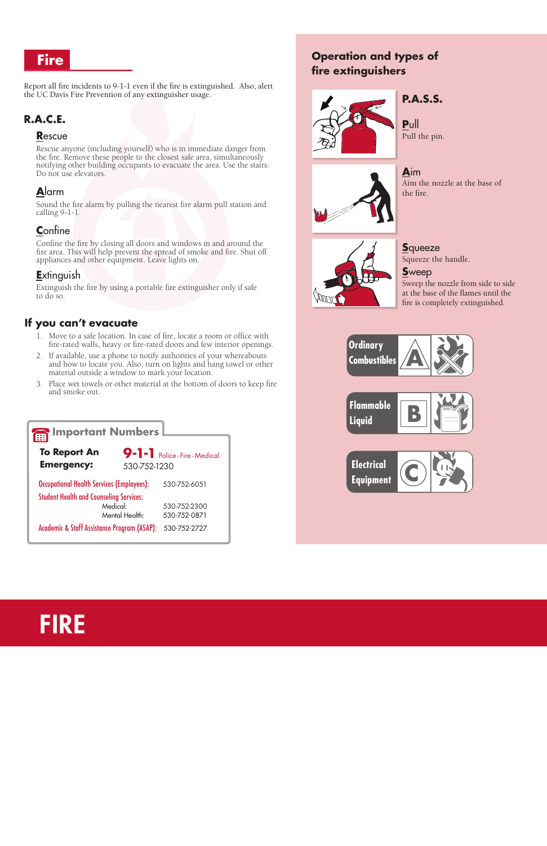# **Fire**

Report all fire incidents to 9-1-1 even if the fire is extinguished. Also, alert the UC Davis Fire Prevention of any extinguisher usage.

# **R.A.C.E.**

#### **R**escue

Rescue anyone (including yourself) who is in immediate danger from the fire. Remove these people to the closest safe area, simultaneously notifying other building occupants to evacuate the area. Use the stairs. Do not use elevators.

## **A**larm

Sound the fire alarm by pulling the nearest fire alarm pull station and calling 9-1-1.

#### **C**onfine

Confine the fire by closing all doors and windows in and around the fire area. This will help prevent the spread of smoke and fire. Shut off appliances and other equipment. Leave lights on.

#### **E**xtinguish

Extinguish the fire by using a portable fire extinguisher only if safe to do so.

### **If you can't evacuate**

- 1. Move to a safe location. In case of fire, locate a room or office with fire-rated walls, heavy or fire-rated doors and few interior openings.
- 2. If available, use a phone to notify authorities of your whereabouts and how to locate you. Also, turn on lights and hang towel or other material outside a window to mark your location.
- 3. Place wet towels or other material at the bottom of doors to keep fire and smoke out.

# **Operation and types of fire extinguishers**



# **P.A.S.S.**

**P**ull Pull the pin.



**A**im Aim the nozzle at the base of the fire.



**S**queeze Squeeze the handle.

#### **S**weep

Sweep the nozzle from side to side at the base of the flames until the fire is completely extinguished.





| Important Numbers                                                                         |              |  |
|-------------------------------------------------------------------------------------------|--------------|--|
| <b>To Report An</b><br>9-1-1 Police - Fire - Medical<br><b>Emergency:</b><br>530-752-1230 |              |  |
| <b>Occupational Health Services (Employees):</b>                                          | 530-752-6051 |  |
| <b>Student Health and Counseling Services:</b>                                            |              |  |
| Medical:                                                                                  | 530-752-2300 |  |
| Mental Health:                                                                            | 530-752-0871 |  |
| <b>Academic &amp; Staff Assistance Program (ASAP):</b>                                    | 530-752-2727 |  |

# FIRE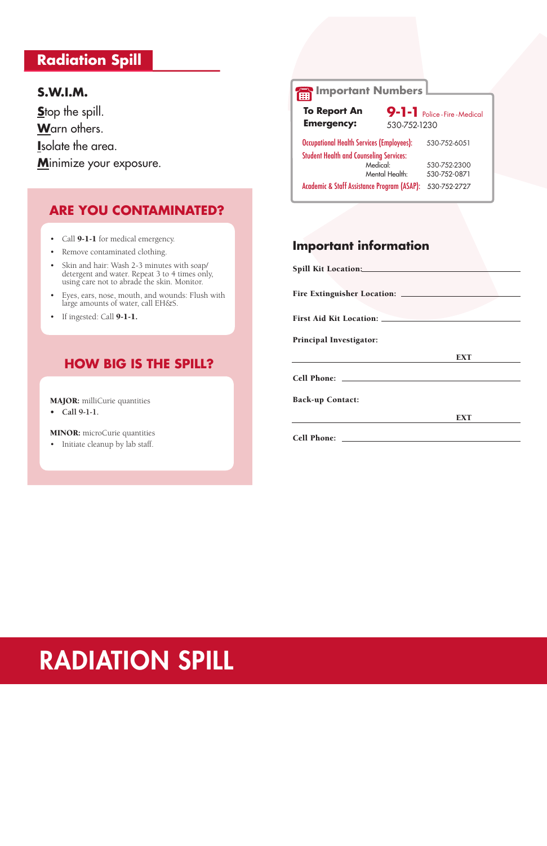# **Radiation Spill**

# **S.W.I.M.**

Stop the spill. **W**arn others. **I**solate the area. **M**inimize your exposure.

# **ARE YOU CONTAMINATED?**

- Call **9-1-1** for medical emergency.
- • Remove contaminated clothing.
- • Skin and hair: Wash 2-3 minutes with soap/ detergent and water. Repeat 3 to 4 times only, using care not to abrade the skin. Monitor.
- • Eyes, ears, nose, mouth, and wounds: Flush with large amounts of water, call EH&S.
- If ingested: Call **9-1-1.**

# **HOW BIG IS THE SPILL?**

MAJOR: milliCurie quantities

**• Call 9-1-1.**

**9-1-1** Police - Fire - Medical 530-752-1230 Occupational Health Services (Employees): 530-752-6051 Student Health and Counseling Services: Medical: 530-752-2300<br>Mental Health: 530-752-0871 530-752-0871 Academic & Staff Assistance Program (ASAP): 530-752-2727 **To Report An Emergency:**

MINOR: microCurie quantities

• Initiate cleanup by lab staff.

# **Important information**

| <b>First Aid Kit Location:</b> |            |
|--------------------------------|------------|
| <b>Principal Investigator:</b> |            |
|                                | <b>EXT</b> |
|                                |            |
| <b>Back-up Contact:</b>        |            |
|                                | <b>EXT</b> |
|                                |            |

# **Important Numbers**

# RADIATION SPILL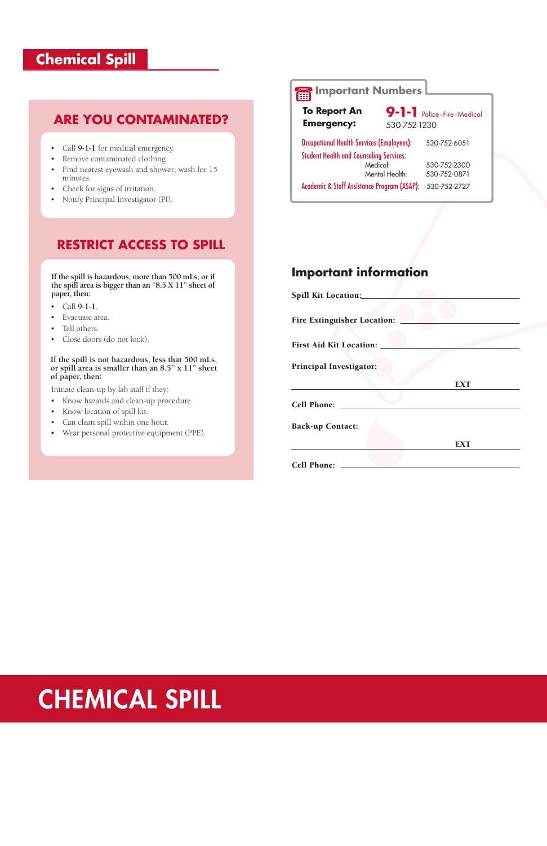# **Chemical Spill**

# **Important information** Spill Kit Location:

| <b>Fire Extinguisher Location:</b> |            |
|------------------------------------|------------|
|                                    |            |
| <b>First Aid Kit Location:</b>     |            |
| <b>Principal Investigator:</b>     |            |
|                                    | <b>EXT</b> |
| <b>Cell Phone:</b>                 |            |
| <b>Back-up Contact:</b>            |            |
|                                    | <b>EXT</b> |
| <b>Cell Phone:</b>                 |            |

# **ARE YOU CONTAMINATED?**

- • Call **9-1-1**.
- Evacuate area.
- Tell others.
- Close doors (do not lock).
- • Call **9-1-1** for medical emergency.
- • Remove contaminated clothing.
- • Find nearest eyewash and shower; wash for 15 minutes.
- Check for signs of irritation.
- • Notify Principal Investigator (PI).

# **RESTRICT ACCESS TO SPILL**

**If the spill is hazardous, more than 500 mLs, or if the spill area is bigger than an "8.5 X 11" sheet of paper, then:**

9-1-1 Police - Fire - Medical 530-752-1230

#### **If the spill is not hazardous, less that 500 mLs, or spill area is smaller than an 8.5" x 11" sheet of paper, then:**

Initiate clean-up by lab staff if they:

- • Know hazards and clean-up procedure.
- • Know location of spill kit.
- • Can clean spill within one hour.
- • Wear personal protective equipment (PPE).

# CHEMICAL SPILL

# **Important Numbers**

Occupational Health Services (Employees): 530-752-6051 Student Health and Counseling Services: Medical: 530-752-2300 Mental Health: 530-752-0871

Academic & Staff Assistance Program (ASAP): 530-752-2727

**To Report An Emergency:**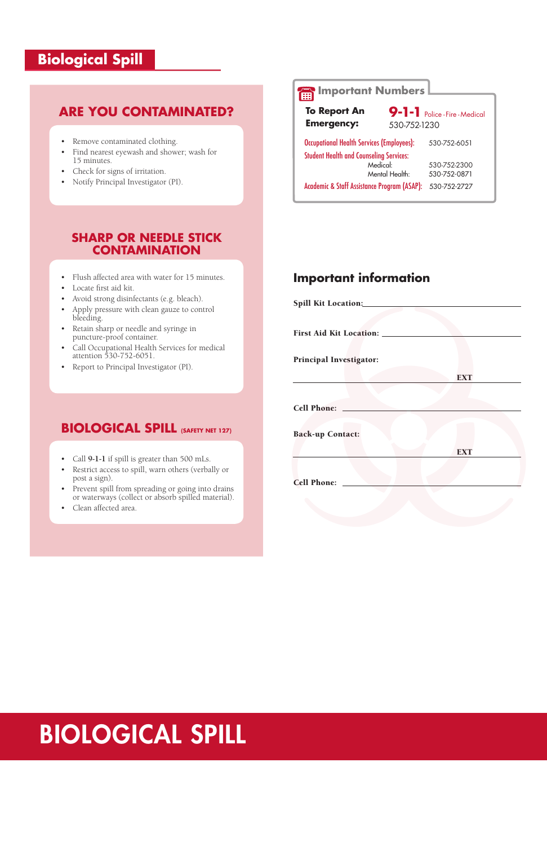# **Biological Spill**

# **Important information**

| Spill Kit Location:                  |            |
|--------------------------------------|------------|
|                                      |            |
|                                      |            |
| <b>First Aid Kit Location: _____</b> |            |
|                                      |            |
| <b>Principal Investigator:</b>       |            |
|                                      | <b>EXT</b> |
|                                      |            |
|                                      |            |
| <b>Cell Phone:</b>                   |            |
|                                      |            |
| <b>Back-up Contact:</b>              |            |
|                                      | <b>EXT</b> |
|                                      |            |
|                                      |            |
| <b>Cell Phone:</b>                   |            |
|                                      |            |

# **ARE YOU CONTAMINATED?**

- • Remove contaminated clothing.
- • Find nearest eyewash and shower; wash for 15 minutes.
- • Check for signs of irritation.
- • Notify Principal Investigator (PI).

# **BIOLOGICAL SPILL (SAFETY NET 127)**

- • Call **9-1-1** if spill is greater than 500 mLs.
- Restrict access to spill, warn others (verbally or post a sign).
- • Prevent spill from spreading or going into drains or waterways (collect or absorb spilled material).
- • Clean affected area.

## **SHARP OR NEEDLE STICK CONTAMINATION**

- • Flush affected area with water for 15 minutes.
- Locate first aid kit.
- • Avoid strong disinfectants (e.g. bleach).
- • Apply pressure with clean gauze to control bleeding.
- • Retain sharp or needle and syringe in puncture-proof container.
- • Call Occupational Health Services for medical attention 530-752-6051.
- • Report to Principal Investigator (PI).

# **Important Numbers**

 530-752-1230 **Emergency: To Report An** 

| <b>Occupational Health Services (Employees):</b>         | 530-752-6051 |
|----------------------------------------------------------|--------------|
| <b>Student Health and Counseling Services:</b>           |              |
| Medical:                                                 | 530-752-2300 |
| Mental Health:                                           | 530-752-0871 |
| Academic & Staff Assistance Program (ASAP): 530-752-2727 |              |

**9-1-1** Police - Fire - Medical

# BIOLOGICAL SPILL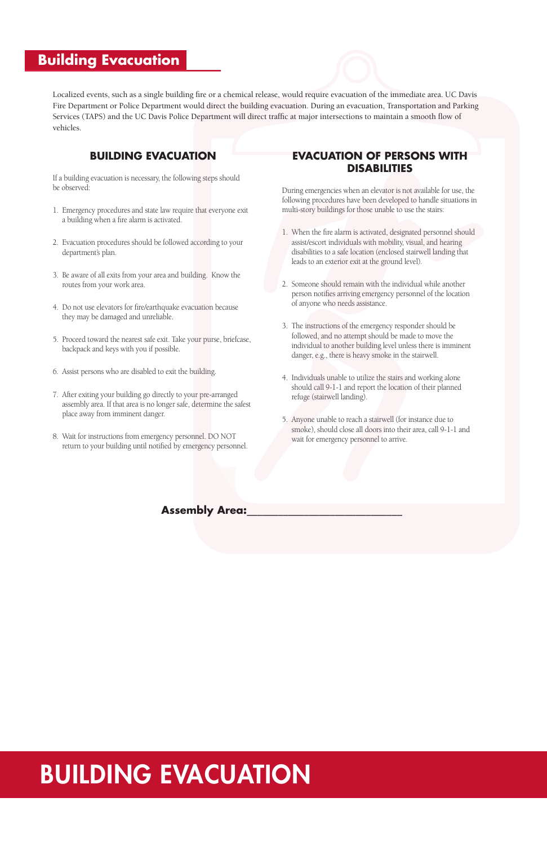# BUILDING EVACUATION

# **Building Evacuation**

# **BUILDING EVACUATION**

If a building evacuation is necessary, the following steps should be observed:

- 1. Emergency procedures and state law require that everyone exit a building when a fire alarm is activated.
- 2. Evacuation procedures should be followed according to your department's plan.
- 3. Be aware of all exits from your area and building. Know the routes from your work area.
- 4. Do not use elevators for fire/earthquake evacuation because they may be damaged and unreliable.
- 5. Proceed toward the nearest safe exit. Take your purse, briefcase, backpack and keys with you if possible.
- 6. Assist persons who are disabled to exit the building.
- 7. After exiting your building go directly to your pre-arranged assembly area. If that area is no longer safe, determine the safest place away from imminent danger.
- 8. Wait for instructions from emergency personnel. DO NOT return to your building until notified by emergency personnel.

Localized events, such as a single building fire or a chemical release, would require evacuation of the immediate area. UC Davis Fire Department or Police Department would direct the building evacuation. During an evacuation, Transportation and Parking Services (TAPS) and the UC Davis Police Department will direct traffic at major intersections to maintain a smooth flow of vehicles.

#### **EVACUATION OF PERSONS WITH DISABILITIES**

During emergencies when an elevator is not available for use, the following procedures have been developed to handle situations in multi-story buildings for those unable to use the stairs:

- 1. When the fire alarm is activated, designated personnel should assist/escort individuals with mobility, visual, and hearing disabilities to a safe location (enclosed stairwell landing that leads to an exterior exit at the ground level).
- 2. Someone should remain with the individual while another person notifies arriving emergency personnel of the location of anyone who needs assistance.
- 3. The instructions of the emergency responder should be followed, and no attempt should be made to move the individual to another building level unless there is imminent danger, e.g., there is heavy smoke in the stairwell.
- 4. Individuals unable to utilize the stairs and working alone should call 9-1-1 and report the location of their planned refuge (stairwell landing).
- 5. Anyone unable to reach a stairwell (for instance due to smoke), should close all doors into their area, call 9-1-1 and wait for emergency personnel to arrive.

#### **Assembly Area:**